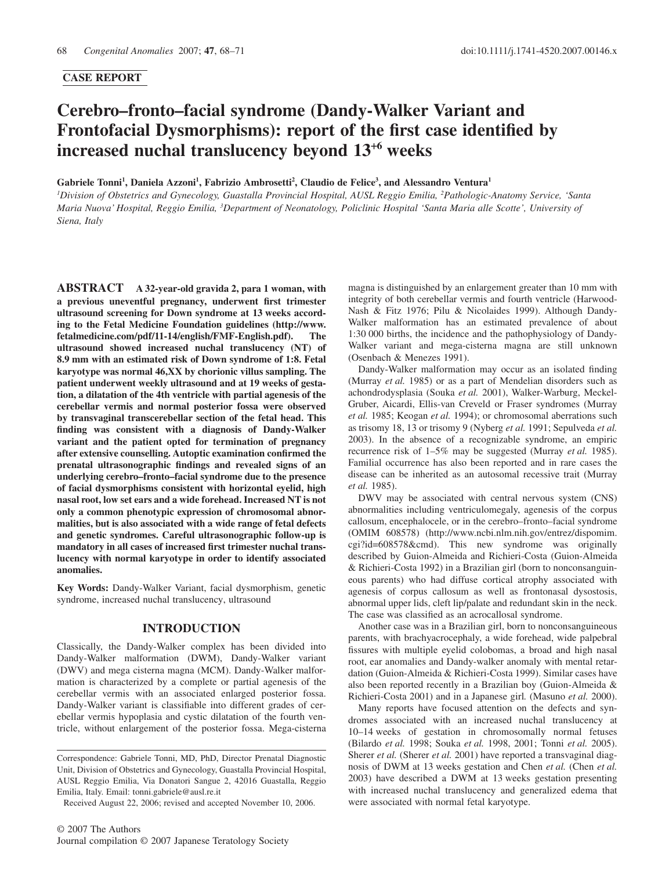## **CASE REPORT**

# **Cerebro–fronto–facial syndrome (Dandy-Walker Variant and Frontofacial Dysmorphisms): report of the first case identified by increased nuchal translucency beyond 13**<sup>+</sup>**<sup>6</sup> weeks**

Gabriele Tonni<sup>1</sup>, Daniela Azzoni<sup>1</sup>, Fabrizio Ambrosetti<sup>2</sup>, Claudio de Felice<sup>3</sup>, and Alessandro Ventura<sup>1</sup>

*1 Division of Obstetrics and Gynecology, Guastalla Provincial Hospital, AUSL Reggio Emilia, <sup>2</sup> Pathologic-Anatomy Service, 'Santa Maria Nuova' Hospital, Reggio Emilia, <sup>3</sup> Department of Neonatology, Policlinic Hospital 'Santa Maria alle Scotte', University of Siena, Italy*

**ABSTRACT A 32-year-old gravida 2, para 1 woman, with a previous uneventful pregnancy, underwent first trimester ultrasound screening for Down syndrome at 13 weeks according to the Fetal Medicine Foundation guidelines [\(http://www.](http://www.fetalmedicine.com/pdf/11-14/english/FMF-English.pdf) [fetalmedicine.com/pdf/11-14/english/FMF-English.pdf\).](http://www.fetalmedicine.com/pdf/11-14/english/FMF-English.pdf) The ultrasound showed increased nuchal translucency (NT) of 8.9 mm with an estimated risk of Down syndrome of 1:8. Fetal karyotype was normal 46,XX by chorionic villus sampling. The patient underwent weekly ultrasound and at 19 weeks of gestation, a dilatation of the 4th ventricle with partial agenesis of the cerebellar vermis and normal posterior fossa were observed by transvaginal transcerebellar section of the fetal head. This finding was consistent with a diagnosis of Dandy-Walker variant and the patient opted for termination of pregnancy after extensive counselling. Autoptic examination confirmed the prenatal ultrasonographic findings and revealed signs of an underlying cerebro–fronto–facial syndrome due to the presence of facial dysmorphisms consistent with horizontal eyelid, high nasal root, low set ears and a wide forehead. Increased NT is not only a common phenotypic expression of chromosomal abnormalities, but is also associated with a wide range of fetal defects and genetic syndromes. Careful ultrasonographic follow-up is mandatory in all cases of increased first trimester nuchal translucency with normal karyotype in order to identify associated anomalies.**

**Key Words:** Dandy-Walker Variant, facial dysmorphism, genetic syndrome, increased nuchal translucency, ultrasound

#### **INTRODUCTION**

Classically, the Dandy-Walker complex has been divided into Dandy-Walker malformation (DWM), Dandy-Walker variant (DWV) and mega cisterna magna (MCM). Dandy-Walker malformation is characterized by a complete or partial agenesis of the cerebellar vermis with an associated enlarged posterior fossa. Dandy-Walker variant is classifiable into different grades of cerebellar vermis hypoplasia and cystic dilatation of the fourth ventricle, without enlargement of the posterior fossa. Mega-cisterna magna is distinguished by an enlargement greater than 10 mm with integrity of both cerebellar vermis and fourth ventricle (Harwood-Nash & Fitz 1976; Pilu & Nicolaides 1999). Although Dandy-Walker malformation has an estimated prevalence of about 1:30 000 births, the incidence and the pathophysiology of Dandy-Walker variant and mega-cisterna magna are still unknown (Osenbach & Menezes 1991).

Dandy-Walker malformation may occur as an isolated finding (Murray *et al.* 1985) or as a part of Mendelian disorders such as achondrodysplasia (Souka *et al.* 2001), Walker-Warburg, Meckel-Gruber, Aicardi, Ellis-van Creveld or Fraser syndromes (Murray *et al.* 1985; Keogan *et al.* 1994); or chromosomal aberrations such as trisomy 18, 13 or trisomy 9 (Nyberg *et al.* 1991; Sepulveda *et al.* 2003). In the absence of a recognizable syndrome, an empiric recurrence risk of 1–5% may be suggested (Murray *et al.* 1985). Familial occurrence has also been reported and in rare cases the disease can be inherited as an autosomal recessive trait (Murray *et al.* 1985).

DWV may be associated with central nervous system (CNS) abnormalities including ventriculomegaly, agenesis of the corpus callosum, encephalocele, or in the cerebro–fronto–facial syndrome (OMIM 608578) [\(http://www.ncbi.nlm.nih.gov/entrez/dispomim](http://www.ncbi.nlm.nih.gov/entrez/dispomim.cgi?id=608578&cmd). [cgi?id=608578&cmd](http://www.ncbi.nlm.nih.gov/entrez/dispomim.cgi?id=608578&cmd)). This new syndrome was originally described by Guion-Almeida and Richieri-Costa (Guion-Almeida & Richieri-Costa 1992) in a Brazilian girl (born to nonconsanguineous parents) who had diffuse cortical atrophy associated with agenesis of corpus callosum as well as frontonasal dysostosis, abnormal upper lids, cleft lip/palate and redundant skin in the neck. The case was classified as an acrocallosal syndrome.

Another case was in a Brazilian girl, born to nonconsanguineous parents, with brachyacrocephaly, a wide forehead, wide palpebral fissures with multiple eyelid colobomas, a broad and high nasal root, ear anomalies and Dandy-walker anomaly with mental retardation (Guion-Almeida & Richieri-Costa 1999). Similar cases have also been reported recently in a Brazilian boy (Guion-Almeida & Richieri-Costa 2001) and in a Japanese girl*.* (Masuno *et al.* 2000).

Many reports have focused attention on the defects and syndromes associated with an increased nuchal translucency at 10–14 weeks of gestation in chromosomally normal fetuses (Bilardo *et al.* 1998; Souka *et al.* 1998, 2001; Tonni *et al.* 2005). Sherer *et al.* (Sherer *et al.* 2001) have reported a transvaginal diagnosis of DWM at 13 weeks gestation and Chen *et al.* (Chen *et al.* 2003) have described a DWM at 13 weeks gestation presenting with increased nuchal translucency and generalized edema that were associated with normal fetal karyotype.

Correspondence: Gabriele Tonni, MD, PhD, Director Prenatal Diagnostic Unit, Division of Obstetrics and Gynecology, Guastalla Provincial Hospital, AUSL Reggio Emilia, Via Donatori Sangue 2, 42016 Guastalla, Reggio Emilia, Italy. Email: tonni[.gabriele@ausl.re.it](mailto:gabriele@ausl.re.it)

Received August 22, 2006; revised and accepted November 10, 2006.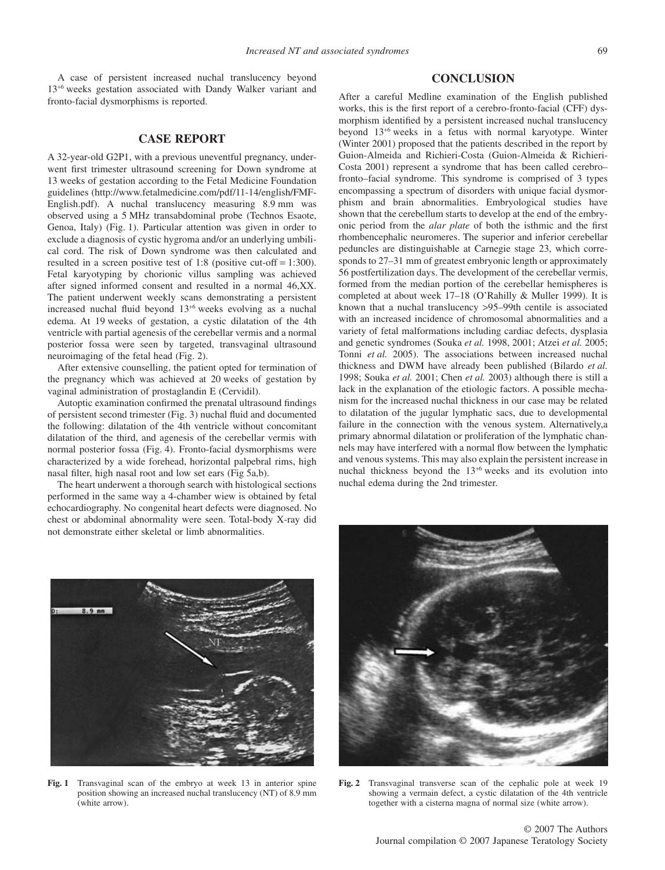A case of persistent increased nuchal translucency beyond 13<sup>+</sup><sup>6</sup> weeks gestation associated with Dandy Walker variant and fronto-facial dysmorphisms is reported.

## **CASE REPORT**

A 32-year-old G2P1, with a previous uneventful pregnancy, underwent first trimester ultrasound screening for Down syndrome at 13 weeks of gestation according to the Fetal Medicine Foundation [guidelines \(http://www.fetalmedicine.com/pdf/11-14/english/FM](http://www.fetalmedicine.com/pdf/11-14/english/FMF-English.pdf)F-English[.pd](http://www.fetalmedicine.com/pdf/11-14/english/FMF-English.pdf)f). A nuchal translucency measuring 8.9 mm was observed using a 5 MHz transabdominal probe (Technos Esaote, Genoa, Italy) (Fig. 1). Particular attention was given in order to exclude a diagnosis of cystic hygroma and/or an underlying umbilical cord. The risk of Down syndrome was then calculated and resulted in a screen positive test of 1:8 (positive cut-off = 1:300). Fetal karyotyping by chorionic villus sampling was achieved after signed informed consent and resulted in a normal 46,XX. The patient underwent weekly scans demonstrating a persistent increased nuchal fluid beyond 13<sup>+</sup><sup>6</sup> weeks evolving as a nuchal edema. At 19 weeks of gestation, a cystic dilatation of the 4th ventricle with partial agenesis of the cerebellar vermis and a normal posterior fossa were seen by targeted, transvaginal ultrasound neuroimaging of the fetal head (Fig. 2).

After extensive counselling, the patient opted for termination of the pregnancy which was achieved at 20 weeks of gestation by vaginal administration of prostaglandin E (Cervidil).

Autoptic examination confirmed the prenatal ultrasound findings of persistent second trimester (Fig. 3) nuchal fluid and documented the following: dilatation of the 4th ventricle without concomitant dilatation of the third, and agenesis of the cerebellar vermis with normal posterior fossa (Fig. 4). Fronto-facial dysmorphisms were characterized by a wide forehead, horizontal palpebral rims, high nasal filter, high nasal root and low set ears (Fig 5a,b).

The heart underwent a thorough search with histological sections performed in the same way a 4-chamber wiew is obtained by fetal echocardiography. No congenital heart defects were diagnosed. No chest or abdominal abnormality were seen. Total-body X-ray did not demonstrate either skeletal or limb abnormalities.

### **CONCLUSION**

After a careful Medline examination of the English published works, this is the first report of a cerebro-fronto-facial (CFF) dysmorphism identified by a persistent increased nuchal translucency beyond 13<sup>+</sup><sup>6</sup> weeks in a fetus with normal karyotype. Winter (Winter 2001) proposed that the patients described in the report by Guion-Almeida and Richieri-Costa (Guion-Almeida & Richieri-Costa 2001) represent a syndrome that has been called cerebro– fronto–facial syndrome. This syndrome is comprised of 3 types encompassing a spectrum of disorders with unique facial dysmorphism and brain abnormalities. Embryological studies have shown that the cerebellum starts to develop at the end of the embryonic period from the *alar plate* of both the isthmic and the first rhombencephalic neuromeres. The superior and inferior cerebellar peduncles are distinguishable at Carnegie stage 23, which corresponds to 27–31 mm of greatest embryonic length or approximately 56 postfertilization days. The development of the cerebellar vermis, formed from the median portion of the cerebellar hemispheres is completed at about week 17–18 (O'Rahilly & Muller 1999). It is known that a nuchal translucency >95–99th centile is associated with an increased incidence of chromosomal abnormalities and a variety of fetal malformations including cardiac defects, dysplasia and genetic syndromes (Souka *et al.* 1998, 2001; Atzei *et al.* 2005; Tonni *et al.* 2005). The associations between increased nuchal thickness and DWM have already been published (Bilardo *et al.* 1998; Souka *et al.* 2001; Chen *et al.* 2003) although there is still a lack in the explanation of the etiologic factors. A possible mechanism for the increased nuchal thickness in our case may be related to dilatation of the jugular lymphatic sacs, due to developmental failure in the connection with the venous system. Alternatively,a primary abnormal dilatation or proliferation of the lymphatic channels may have interfered with a normal flow between the lymphatic and venous systems. This may also explain the persistent increase in nuchal thickness beyond the 13<sup>+</sup><sup>6</sup> weeks and its evolution into nuchal edema during the 2nd trimester.



**Fig. 1** Transvaginal scan of the embryo at week 13 in anterior spine position showing an increased nuchal translucency (NT) of 8.9 mm (white arrow).



**Fig. 2** Transvaginal transverse scan of the cephalic pole at week 19 showing a vermain defect, a cystic dilatation of the 4th ventricle together with a cisterna magna of normal size (white arrow).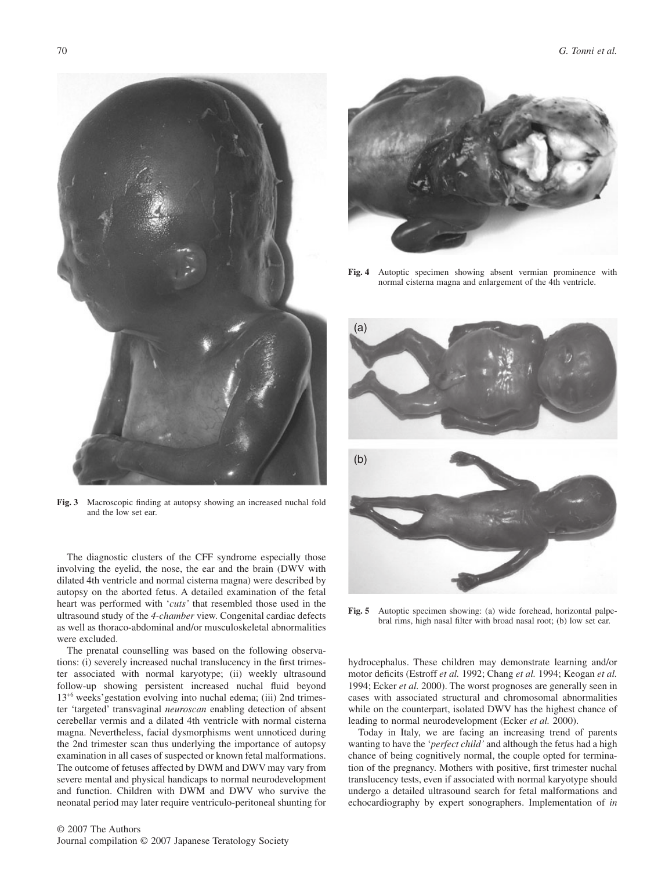**Fig. 3** Macroscopic finding at autopsy showing an increased nuchal fold and the low set ear.

The diagnostic clusters of the CFF syndrome especially those involving the eyelid, the nose, the ear and the brain (DWV with dilated 4th ventricle and normal cisterna magna) were described by autopsy on the aborted fetus. A detailed examination of the fetal heart was performed with '*cuts'* that resembled those used in the ultrasound study of the *4-chamber* view. Congenital cardiac defects as well as thoraco-abdominal and/or musculoskeletal abnormalities were excluded.

The prenatal counselling was based on the following observations: (i) severely increased nuchal translucency in the first trimester associated with normal karyotype; (ii) weekly ultrasound follow-up showing persistent increased nuchal fluid beyond 13<sup>+</sup><sup>6</sup> weeks'gestation evolving into nuchal edema; (iii) 2nd trimester 'targeted' transvaginal *neuroscan* enabling detection of absent cerebellar vermis and a dilated 4th ventricle with normal cisterna magna. Nevertheless, facial dysmorphisms went unnoticed during the 2nd trimester scan thus underlying the importance of autopsy examination in all cases of suspected or known fetal malformations. The outcome of fetuses affected by DWM and DWV may vary from severe mental and physical handicaps to normal neurodevelopment and function. Children with DWM and DWV who survive the neonatal period may later require ventriculo-peritoneal shunting for



**Fig. 4** Autoptic specimen showing absent vermian prominence with normal cisterna magna and enlargement of the 4th ventricle.



**Fig. 5** Autoptic specimen showing: (a) wide forehead, horizontal palpebral rims, high nasal filter with broad nasal root; (b) low set ear.

hydrocephalus. These children may demonstrate learning and/or motor deficits (Estroff *et al.* 1992; Chang *et al.* 1994; Keogan *et al.* 1994; Ecker *et al.* 2000). The worst prognoses are generally seen in cases with associated structural and chromosomal abnormalities while on the counterpart, isolated DWV has the highest chance of leading to normal neurodevelopment (Ecker *et al.* 2000).

Today in Italy, we are facing an increasing trend of parents wanting to have the '*perfect child'* and although the fetus had a high chance of being cognitively normal, the couple opted for termination of the pregnancy. Mothers with positive, first trimester nuchal translucency tests, even if associated with normal karyotype should undergo a detailed ultrasound search for fetal malformations and echocardiography by expert sonographers. Implementation of *in*